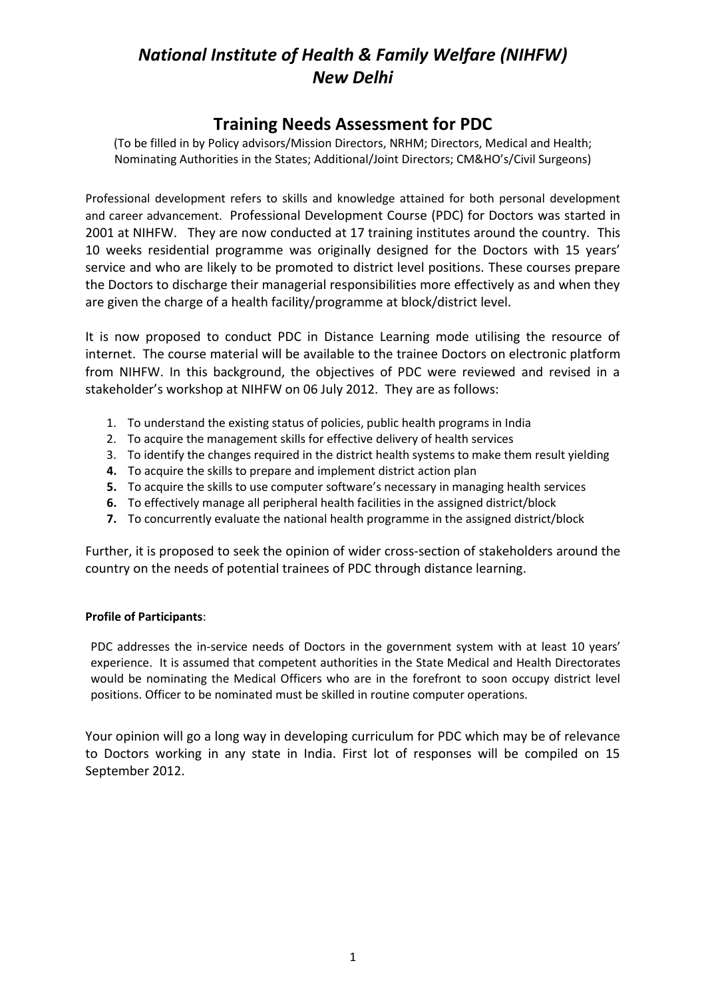### **Training Needs Assessment for PDC**

(To be filled in by Policy advisors/Mission Directors, NRHM; Directors, Medical and Health; Nominating Authorities in the States; Additional/Joint Directors; CM&HO's/Civil Surgeons)

Professional development refers to skills and knowledge attained for both personal development and career advancement. Professional Development Course (PDC) for Doctors was started in 2001 at NIHFW. They are now conducted at 17 training institutes around the country. This 10 weeks residential programme was originally designed for the Doctors with 15 years' service and who are likely to be promoted to district level positions. These courses prepare the Doctors to discharge their managerial responsibilities more effectively as and when they are given the charge of a health facility/programme at block/district level.

It is now proposed to conduct PDC in Distance Learning mode utilising the resource of internet. The course material will be available to the trainee Doctors on electronic platform from NIHFW. In this background, the objectives of PDC were reviewed and revised in a stakeholder's workshop at NIHFW on 06 July 2012. They are as follows:

- 1. To understand the existing status of policies, public health programs in India
- 2. To acquire the management skills for effective delivery of health services
- 3. To identify the changes required in the district health systems to make them result yielding
- **4.** To acquire the skills to prepare and implement district action plan
- **5.** To acquire the skills to use computer software's necessary in managing health services
- **6.** To effectively manage all peripheral health facilities in the assigned district/block
- **7.** To concurrently evaluate the national health programme in the assigned district/block

Further, it is proposed to seek the opinion of wider cross-section of stakeholders around the country on the needs of potential trainees of PDC through distance learning.

### **Profile of Participants**:

PDC addresses the in-service needs of Doctors in the government system with at least 10 years' experience. It is assumed that competent authorities in the State Medical and Health Directorates would be nominating the Medical Officers who are in the forefront to soon occupy district level positions. Officer to be nominated must be skilled in routine computer operations.

Your opinion will go a long way in developing curriculum for PDC which may be of relevance to Doctors working in any state in India. First lot of responses will be compiled on 15 September 2012.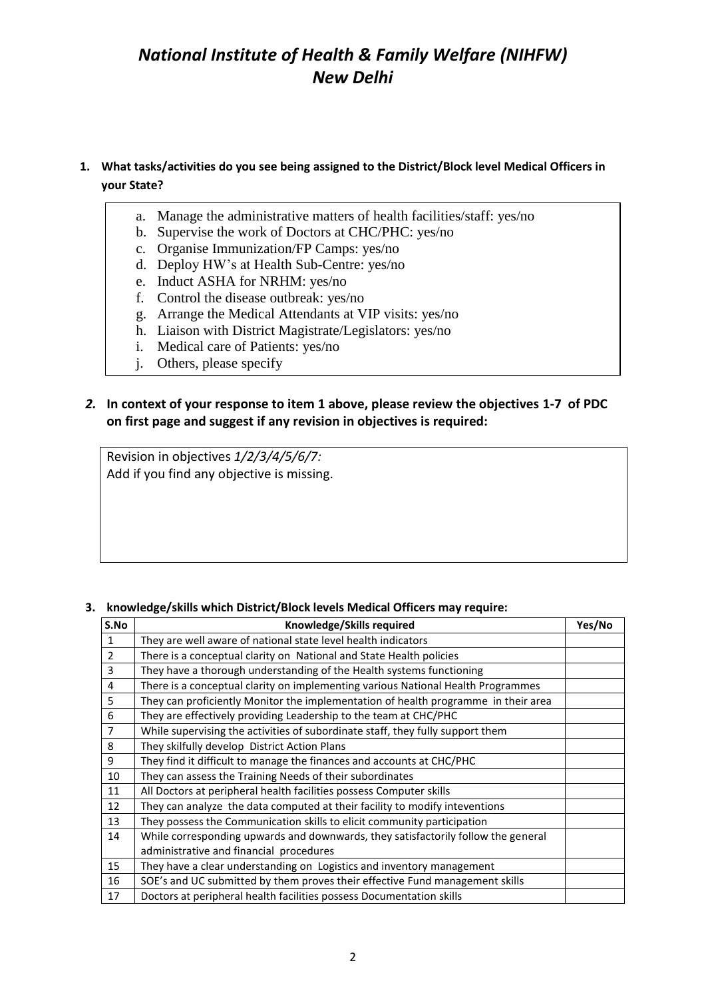### **1. What tasks/activities do you see being assigned to the District/Block level Medical Officers in your State?**

- a. Manage the administrative matters of health facilities/staff: yes/no
- b. Supervise the work of Doctors at CHC/PHC: yes/no
- c. Organise Immunization/FP Camps: yes/no
- d. Deploy HW's at Health Sub-Centre: yes/no
- e. Induct ASHA for NRHM: yes/no
- f. Control the disease outbreak: yes/no
- g. Arrange the Medical Attendants at VIP visits: yes/no
- h. Liaison with District Magistrate/Legislators: yes/no
- i. Medical care of Patients: yes/no
- j. Others, please specify

k. j

#### *2.* **In context of your response to item 1 above, please review the objectives 1-7 of PDC**  l. **on first page and suggest if any revision in objectives is required:** ....<br>... n.

Revision in objectives *1/2/3/4/5/6/7:* Add if you find any objective is missing. o.

### **3. knowledge/skills which District/Block levels Medical Officers may require:**

| S.No           | Knowledge/Skills required                                                          |  |  |  |  |
|----------------|------------------------------------------------------------------------------------|--|--|--|--|
| $\mathbf{1}$   | They are well aware of national state level health indicators                      |  |  |  |  |
| $\overline{2}$ | There is a conceptual clarity on National and State Health policies                |  |  |  |  |
| 3              | They have a thorough understanding of the Health systems functioning               |  |  |  |  |
| 4              | There is a conceptual clarity on implementing various National Health Programmes   |  |  |  |  |
| 5              | They can proficiently Monitor the implementation of health programme in their area |  |  |  |  |
| 6              | They are effectively providing Leadership to the team at CHC/PHC                   |  |  |  |  |
| $\overline{7}$ | While supervising the activities of subordinate staff, they fully support them     |  |  |  |  |
| 8              | They skilfully develop District Action Plans                                       |  |  |  |  |
| 9              | They find it difficult to manage the finances and accounts at CHC/PHC              |  |  |  |  |
| 10             | They can assess the Training Needs of their subordinates                           |  |  |  |  |
| 11             | All Doctors at peripheral health facilities possess Computer skills                |  |  |  |  |
| 12             | They can analyze the data computed at their facility to modify inteventions        |  |  |  |  |
| 13             | They possess the Communication skills to elicit community participation            |  |  |  |  |
| 14             | While corresponding upwards and downwards, they satisfactorily follow the general  |  |  |  |  |
|                | administrative and financial procedures                                            |  |  |  |  |
| 15             | They have a clear understanding on Logistics and inventory management              |  |  |  |  |
| 16             | SOE's and UC submitted by them proves their effective Fund management skills       |  |  |  |  |
| 17             | Doctors at peripheral health facilities possess Documentation skills               |  |  |  |  |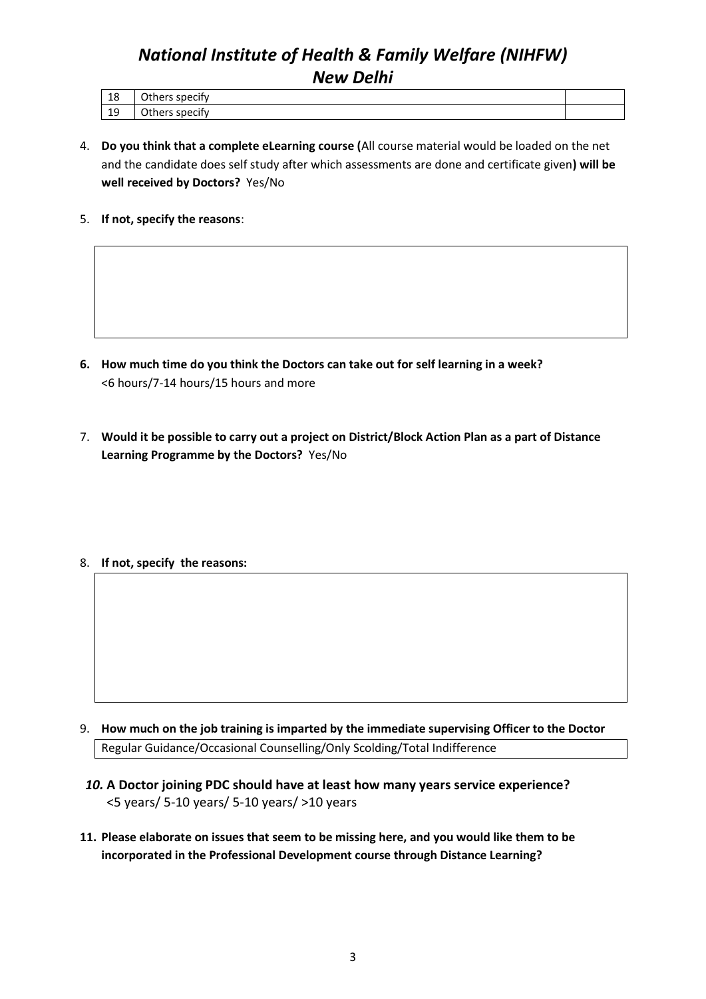| 1 O<br>ΤO | $\sim$<br>thers specify. |  |
|-----------|--------------------------|--|
| 10<br>ᅩ   | .<br>Others specify      |  |

- 4. **Do you think that a complete eLearning course (**All course material would be loaded on the net and the candidate does self study after which assessments are done and certificate given**) will be well received by Doctors?** Yes/No
- 5. **If not, specify the reasons**:

- **6. How much time do you think the Doctors can take out for self learning in a week?** <6 hours/7-14 hours/15 hours and more
- 7. **Would it be possible to carry out a project on District/Block Action Plan as a part of Distance Learning Programme by the Doctors?** Yes/No
- 8. **If not, specify the reasons:**

- 9. **How much on the job training is imparted by the immediate supervising Officer to the Doctor** Regular Guidance/Occasional Counselling/Only Scolding/Total Indifference
- *10.* **A Doctor joining PDC should have at least how many years service experience?** <5 years/ 5-10 years/ 5-10 years/ >10 years
- **11. Please elaborate on issues that seem to be missing here, and you would like them to be incorporated in the Professional Development course through Distance Learning?**